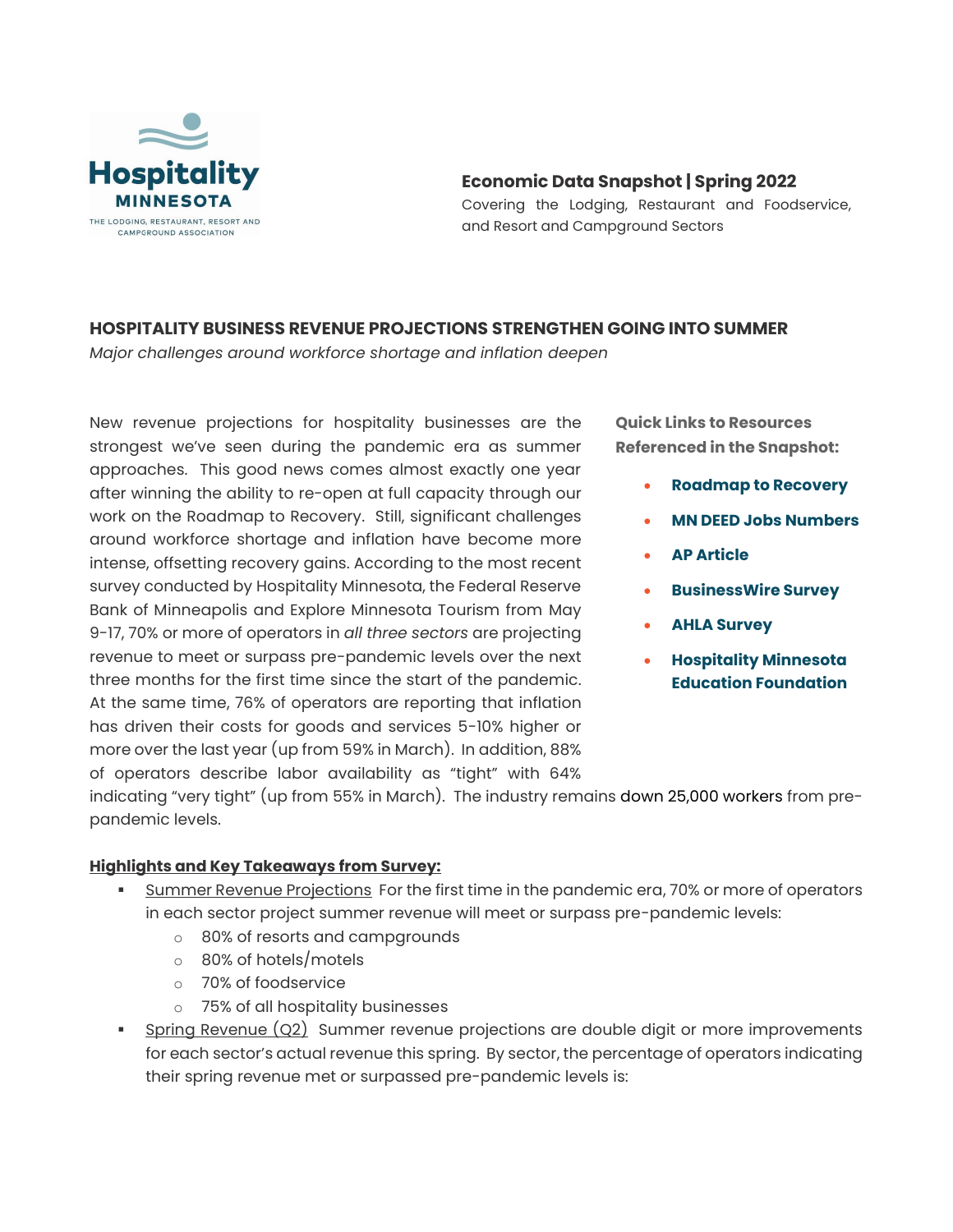

# **Economic Data Snapshot | Spring 2022**

Covering the Lodging, Restaurant and Foodservice, and Resort and Campground Sectors

# **HOSPITALITY BUSINESS REVENUE PROJECTIONS STRENGTHEN GOING INTO SUMMER**

*Major challenges around workforce shortage and inflation deepen*

New revenue projections for hospitality businesses are the strongest we've seen during the pandemic era as summer approaches. This good news comes almost exactly one year after winning the ability to re-open at full capacity through our work on the Roadmap to Recovery. Still, significant challenges around workforce shortage and inflation have become more intense, offsetting recovery gains. According to the most recent survey conducted by Hospitality Minnesota, the Federal Reserve Bank of Minneapolis and Explore Minnesota Tourism from May 9-17, 70% or more of operators in *all three sectors* are projecting revenue to meet or surpass pre-pandemic levels over the next three months for the first time since the start of the pandemic. At the same time, 76% of operators are reporting that inflation has driven their costs for goods and services 5-10% higher or more over the last year (up from 59% in March). In addition, 88% of operators describe labor availability as "tight" with 64%

**Quick Links to Resources Referenced in the Snapshot:**

- **[Roadmap to Recovery](http://weebly-file/1/3/0/6/130676911/roadmap2recovery.jpg)**
- **[MN DEED Jobs Numbers](https://apps.deed.state.mn.us/lmi/ces/ResultDetails.aspx?ind=70000000&title=Leisure%20and%20Hospitality)**
- **[AP Article](https://apnews.com/article/economy-inflation-prices-4e671c834fb40342d544362f2bdf5791)**
- **[BusinessWire Survey](https://www.businesswire.com/news/home/20220421005294/en/Consumers-Cut-Back-on-Dining-Out-Entertainment-and-Vacations-in-Response-to-Inflation-According-to-New-First-Insight-Inflation-Report)**
- **[AHLA Survey](https://www.ahla.com/sites/default/files/mc_summertravel_onepager_05.25.22_0.pdf)**
- **[Hospitality Minnesota](http://weebly-link/277562030319082131)  [Education Foundation](http://weebly-link/277562030319082131)**

indicating "very tight" (up from 55% in March). The industry remains down 25,000 workers from prepandemic levels.

## **Highlights and Key Takeaways from Survey:**

- **EXECT** Summer Revenue Projections For the first time in the pandemic era, 70% or more of operators in each sector project summer revenue will meet or surpass pre-pandemic levels:
	- o 80% of resorts and campgrounds
	- o 80% of hotels/motels
	- o 70% of foodservice
	- o 75% of all hospitality businesses
- Spring Revenue (Q2) Summer revenue projections are double digit or more improvements for each sector's actual revenue this spring. By sector, the percentage of operators indicating their spring revenue met or surpassed pre-pandemic levels is: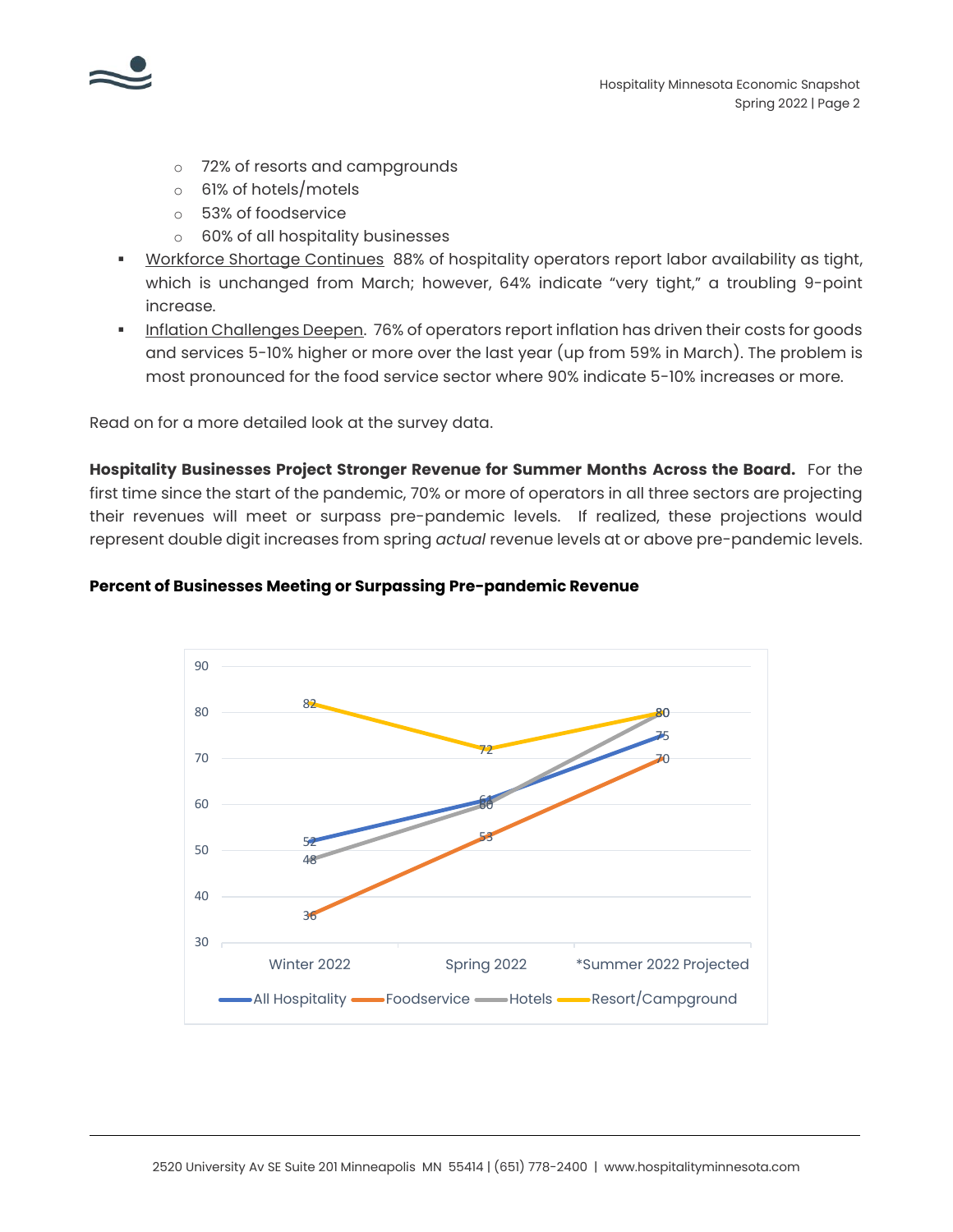

- o 72% of resorts and campgrounds
- o 61% of hotels/motels
- o 53% of foodservice
- o 60% of all hospitality businesses
- **Workforce Shortage Continues 88% of hospitality operators report labor availability as tight,** which is unchanged from March; however, 64% indicate "very tight," a troubling 9-point increase.
- Inflation Challenges Deepen. 76% of operators report inflation has driven their costs for goods and services 5-10% higher or more over the last year (up from 59% in March). The problem is most pronounced for the food service sector where 90% indicate 5-10% increases or more.

Read on for a more detailed look at the survey data.

**Hospitality Businesses Project Stronger Revenue for Summer Months Across the Board.** For the first time since the start of the pandemic, 70% or more of operators in all three sectors are projecting their revenues will meet or surpass pre-pandemic levels. If realized, these projections would represent double digit increases from spring *actual* revenue levels at or above pre-pandemic levels.

## **Percent of Businesses Meeting or Surpassing Pre-pandemic Revenue**

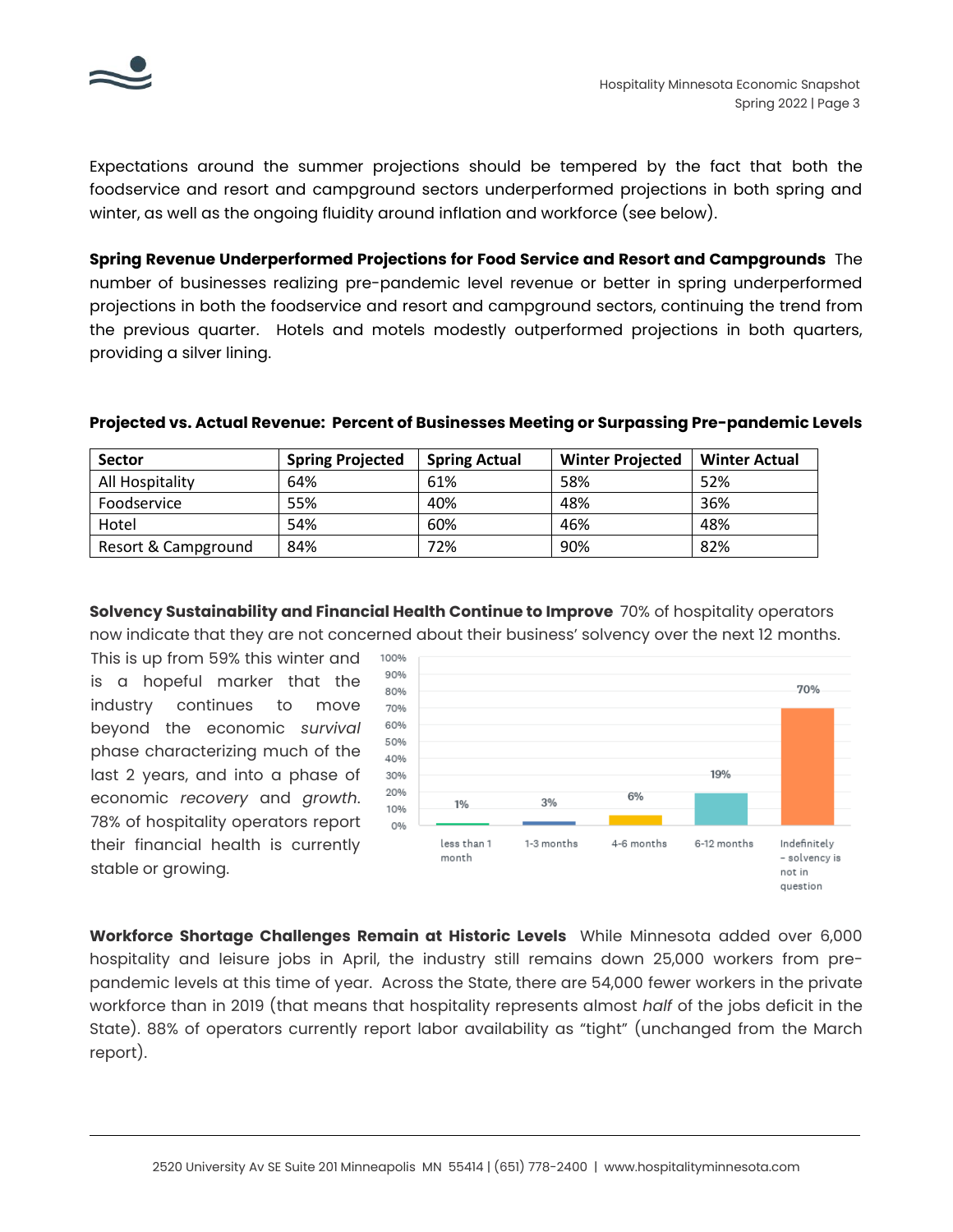

Expectations around the summer projections should be tempered by the fact that both the foodservice and resort and campground sectors underperformed projections in both spring and winter, as well as the ongoing fluidity around inflation and workforce (see below).

**Spring Revenue Underperformed Projections for Food Service and Resort and Campgrounds** The number of businesses realizing pre-pandemic level revenue or better in spring underperformed projections in both the foodservice and resort and campground sectors, continuing the trend from the previous quarter. Hotels and motels modestly outperformed projections in both quarters, providing a silver lining.

| <b>Sector</b>       | <b>Spring Projected</b> | <b>Spring Actual</b> | <b>Winter Projected</b> | <b>Winter Actual</b> |
|---------------------|-------------------------|----------------------|-------------------------|----------------------|
| All Hospitality     | 64%                     | 61%                  | 58%                     | 52%                  |
| Foodservice         | 55%                     | 40%                  | 48%                     | 36%                  |
| Hotel               | 54%                     | 60%                  | 46%                     | 48%                  |
| Resort & Campground | 84%                     | 72%                  | 90%                     | 82%                  |

## **Projected vs. Actual Revenue: Percent of Businesses Meeting or Surpassing Pre-pandemic Levels**

**Solvency Sustainability and Financial Health Continue to Improve** 70% of hospitality operators now indicate that they are not concerned about their business' solvency over the next 12 months.

This is up from 59% this winter and is a hopeful marker that the industry continues to move beyond the economic *survival* phase characterizing much of the last 2 years, and into a phase of economic *recovery* and *growth*. 78% of hospitality operators report their financial health is currently stable or growing.



**Workforce Shortage Challenges Remain at Historic Levels** While Minnesota added over 6,000 hospitality and leisure jobs in April, the industry still remains down 25,000 workers from prepandemic levels at this time of year. Across the State, there are 54,000 fewer workers in the private workforce than in 2019 (that means that hospitality represents almost *half* of the jobs deficit in the State). 88% of operators currently report labor availability as "tight" (unchanged from the March report).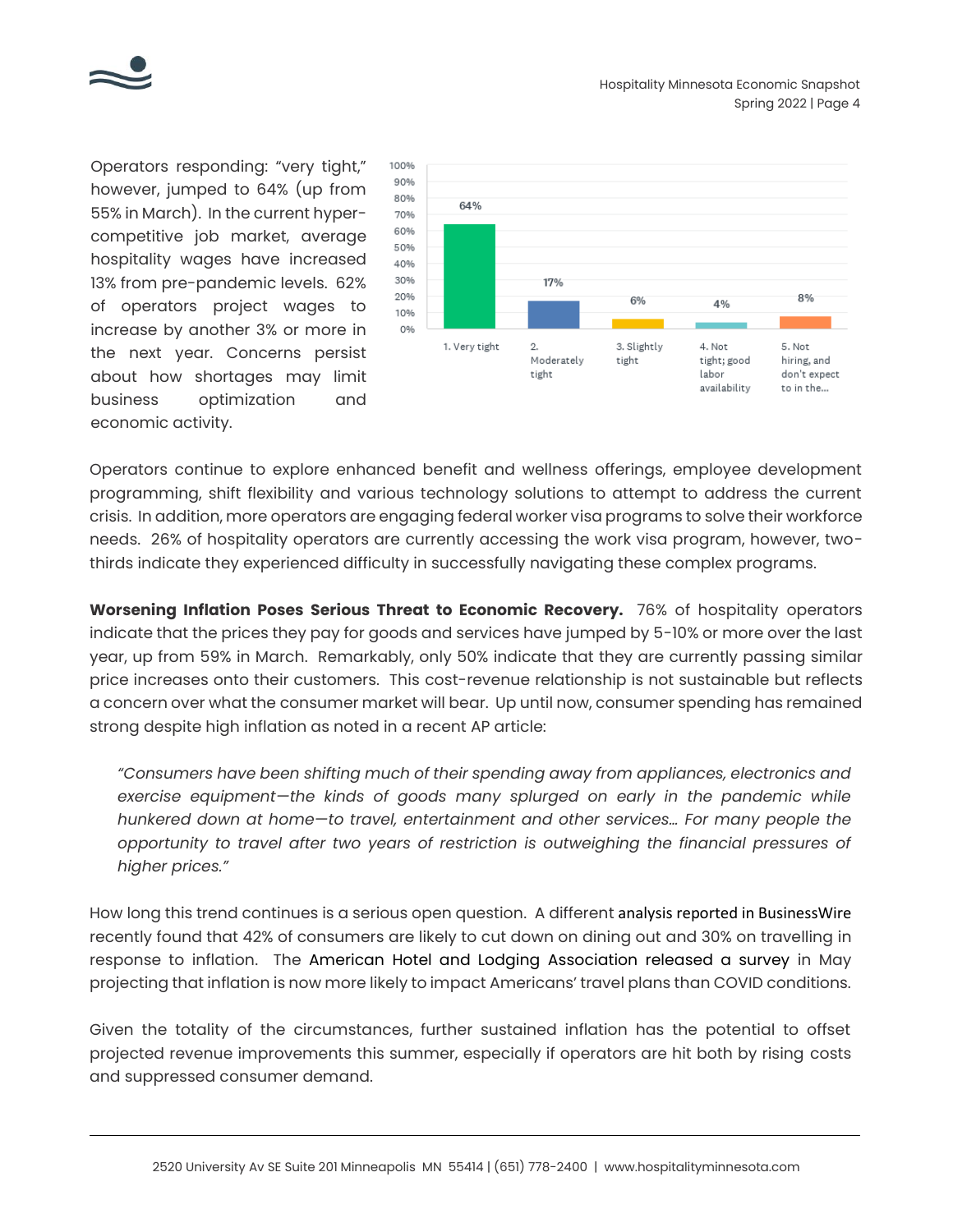

Operators responding: "very tight," however, jumped to 64% (up from 55% in March). In the current hypercompetitive job market, average hospitality wages have increased 13% from pre-pandemic levels. 62% of operators project wages to increase by another 3% or more in the next year. Concerns persist about how shortages may limit business optimization and economic activity.



Operators continue to explore enhanced benefit and wellness offerings, employee development programming, shift flexibility and various technology solutions to attempt to address the current crisis. In addition, more operators are engaging federal worker visa programs to solve their workforce needs. 26% of hospitality operators are currently accessing the work visa program, however, twothirds indicate they experienced difficulty in successfully navigating these complex programs.

**Worsening Inflation Poses Serious Threat to Economic Recovery.** 76% of hospitality operators indicate that the prices they pay for goods and services have jumped by 5-10% or more over the last year, up from 59% in March. Remarkably, only 50% indicate that they are currently passing similar price increases onto their customers. This cost-revenue relationship is not sustainable but reflects a concern over what the consumer market will bear. Up until now, consumer spending has remained strong despite high inflation as noted in a recent AP article:

*"Consumers have been shifting much of their spending away from appliances, electronics and exercise equipment—the kinds of goods many splurged on early in the pandemic while hunkered down at home—to travel, entertainment and other services… For many people the opportunity to travel after two years of restriction is outweighing the financial pressures of higher prices."*

How long this trend continues is a serious open question. A different analysis reported in BusinessWire recently found that 42% of consumers are likely to cut down on dining out and 30% on travelling in response to inflation. The American Hotel and Lodging Association released a survey in May projecting that inflation is now more likely to impact Americans' travel plans than COVID conditions.

Given the totality of the circumstances, further sustained inflation has the potential to offset projected revenue improvements this summer, especially if operators are hit both by rising costs and suppressed consumer demand.